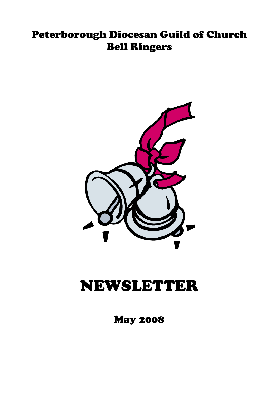## Peterborough Diocesan Guild of Church Bell Ringers



# NEWSLETTER

May 2008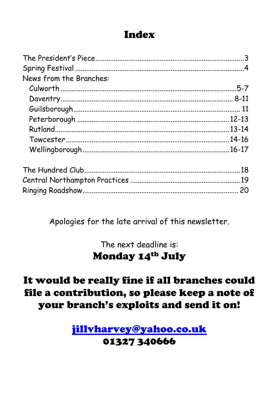## Index

| News from the Branches: |  |
|-------------------------|--|
|                         |  |
|                         |  |
|                         |  |
|                         |  |
|                         |  |
|                         |  |
|                         |  |
|                         |  |
|                         |  |
|                         |  |

Apologies for the late arrival of this newsletter.

The next deadline is: **Monday 14th July** 

## It would be really fine if all branches could file a contribution, so please keep a note of your branch's exploits and send it on!

jillvharvey@yahoo.co.uk 01327340666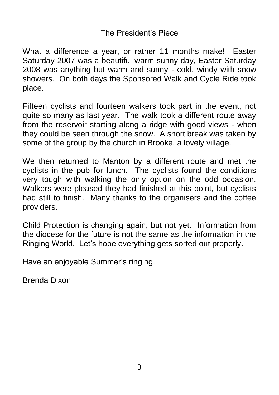## The President's Piece

What a difference a year, or rather 11 months make! Easter Saturday 2007 was a beautiful warm sunny day, Easter Saturday 2008 was anything but warm and sunny - cold, windy with snow showers. On both days the Sponsored Walk and Cycle Ride took place.

Fifteen cyclists and fourteen walkers took part in the event, not quite so many as last year. The walk took a different route away from the reservoir starting along a ridge with good views - when they could be seen through the snow. A short break was taken by some of the group by the church in Brooke, a lovely village.

We then returned to Manton by a different route and met the cyclists in the pub for lunch. The cyclists found the conditions very tough with walking the only option on the odd occasion. Walkers were pleased they had finished at this point, but cyclists had still to finish. Many thanks to the organisers and the coffee providers.

Child Protection is changing again, but not yet. Information from the diocese for the future is not the same as the information in the Ringing World. Let's hope everything gets sorted out properly.

Have an enjoyable Summer's ringing.

Brenda Dixon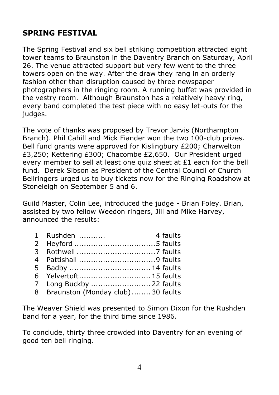## **SPRING FESTIVAL**

The Spring Festival and six bell striking competition attracted eight tower teams to Braunston in the Daventry Branch on Saturday, April 26. The venue attracted support but very few went to the three towers open on the way. After the draw they rang in an orderly fashion other than disruption caused by three newspaper photographers in the ringing room. A running buffet was provided in the vestry room. Although Braunston has a relatively heavy ring, every band completed the test piece with no easy let-outs for the judges.

The vote of thanks was proposed by Trevor Jarvis (Northampton Branch). Phil Cahill and Mick Fiander won the two 100-club prizes. Bell fund grants were approved for Kislingbury £200; Charwelton £3,250; Kettering £300; Chacombe £2,650. Our President urged every member to sell at least one quiz sheet at £1 each for the bell fund. Derek Sibson as President of the Central Council of Church Bellringers urged us to buy tickets now for the Ringing Roadshow at Stoneleigh on September 5 and 6.

Guild Master, Colin Lee, introduced the judge - Brian Foley. Brian, assisted by two fellow Weedon ringers, Jill and Mike Harvey, announced the results:

- 1 Rushden ........... 4 faults 2 Heyford ..................................5 faults 3 Rothwell .................................7 faults 4 Pattishall ................................9 faults
- 5 Badby ..................................14 faults
- 6 Yelvertoft..............................15 faults
- 7 Long Buckby .........................22 faults
- 8 Braunston (Monday club) ........30 faults

The Weaver Shield was presented to Simon Dixon for the Rushden band for a year, for the third time since 1986.

To conclude, thirty three crowded into Daventry for an evening of good ten bell ringing.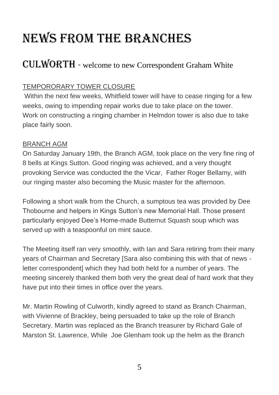# NEWS FROM THE BRANCHES

## CULWORTH - welcome to new Correspondent Graham White

### TEMPORORARY TOWER CLOSURE

Within the next few weeks, Whitfield tower will have to cease ringing for a few weeks, owing to impending repair works due to take place on the tower. Work on constructing a ringing chamber in Helmdon tower is also due to take place fairly soon.

#### BRANCH AGM

On Saturday January 19th, the Branch AGM, took place on the very fine ring of 8 bells at Kings Sutton. Good ringing was achieved, and a very thought provoking Service was conducted the the Vicar, Father Roger Bellamy, with our ringing master also becoming the Music master for the afternoon.

Following a short walk from the Church, a sumptous tea was provided by Dee Thobourne and helpers in Kings Sutton's new Memorial Hall. Those present particularly enjoyed Dee's Home-made Butternut Squash soup which was served up with a teaspoonful on mint sauce.

The Meeting itself ran very smoothly, with Ian and Sara retiring from their many years of Chairman and Secretary [Sara also combining this with that of news letter correspondent] which they had both held for a number of years. The meeting sincerely thanked them both very the great deal of hard work that they have put into their times in office over the years.

Mr. Martin Rowling of Culworth, kindly agreed to stand as Branch Chairman, with Vivienne of Brackley, being persuaded to take up the role of Branch Secretary. Martin was replaced as the Branch treasurer by Richard Gale of Marston St. Lawrence, While Joe Glenham took up the helm as the Branch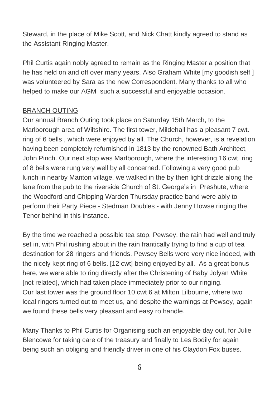Steward, in the place of Mike Scott, and Nick Chatt kindly agreed to stand as the Assistant Ringing Master.

Phil Curtis again nobly agreed to remain as the Ringing Master a position that he has held on and off over many years. Also Graham White [my goodish self ] was volunteered by Sara as the new Correspondent. Many thanks to all who helped to make our AGM such a successful and enjoyable occasion.

#### BRANCH OUTING

Our annual Branch Outing took place on Saturday 15th March, to the Marlborough area of Wiltshire. The first tower, Mildehall has a pleasant 7 cwt. ring of 6 bells , which were enjoyed by all. The Church, however, is a revelation having been completely refurnished in 1813 by the renowned Bath Architect, John Pinch. Our next stop was Marlborough, where the interesting 16 cwt ring of 8 bells were rung very well by all concerned. Following a very good pub lunch in nearby Manton village, we walked in the by then light drizzle along the lane from the pub to the riverside Church of St. George's in Preshute, where the Woodford and Chipping Warden Thursday practice band were ably to perform their Party Piece - Stedman Doubles - with Jenny Howse ringing the Tenor behind in this instance.

By the time we reached a possible tea stop, Pewsey, the rain had well and truly set in, with Phil rushing about in the rain frantically trying to find a cup of tea destination for 28 ringers and friends. Pewsey Bells were very nice indeed, with the nicely kept ring of 6 bells. [12 cwt] being enjoyed by all. As a great bonus here, we were able to ring directly after the Christening of Baby Jolyan White [not related], which had taken place immediately prior to our ringing. Our last tower was the ground floor 10 cwt 6 at Milton Lilbourne, where two local ringers turned out to meet us, and despite the warnings at Pewsey, again we found these bells very pleasant and easy ro handle.

Many Thanks to Phil Curtis for Organising such an enjoyable day out, for Julie Blencowe for taking care of the treasury and finally to Les Bodily for again being such an obliging and friendly driver in one of his Claydon Fox buses.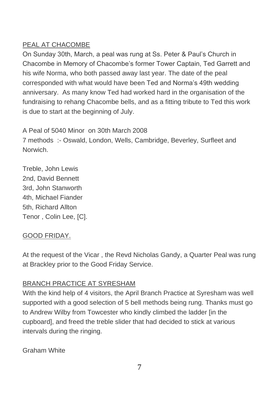### PEAL AT CHACOMBE

On Sunday 30th, March, a peal was rung at Ss. Peter & Paul's Church in Chacombe in Memory of Chacombe's former Tower Captain, Ted Garrett and his wife Norma, who both passed away last year. The date of the peal corresponded with what would have been Ted and Norma's 49th wedding anniversary. As many know Ted had worked hard in the organisation of the fundraising to rehang Chacombe bells, and as a fitting tribute to Ted this work is due to start at the beginning of July.

A Peal of 5040 Minor on 30th March 2008 7 methods :- Oswald, London, Wells, Cambridge, Beverley, Surfleet and Norwich.

Treble, John Lewis 2nd, David Bennett 3rd, John Stanworth 4th, Michael Fiander 5th, Richard Allton Tenor , Colin Lee, [C].

### GOOD FRIDAY.

At the request of the Vicar , the Revd Nicholas Gandy, a Quarter Peal was rung at Brackley prior to the Good Friday Service.

### BRANCH PRACTICE AT SYRESHAM

With the kind help of 4 visitors, the April Branch Practice at Syresham was well supported with a good selection of 5 bell methods being rung. Thanks must go to Andrew Wilby from Towcester who kindly climbed the ladder [in the cupboard], and freed the treble slider that had decided to stick at various intervals during the ringing.

Graham White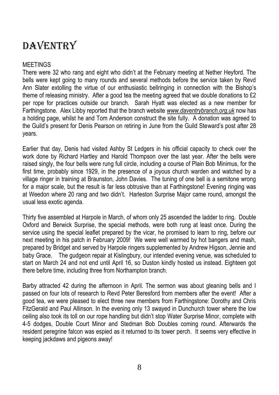## DAVENTRY

#### MEETINGS

There were 32 who rang and eight who didn't at the February meeting at Nether Heyford. The bells were kept going to many rounds and several methods before the service taken by Revd Ann Slater extolling the virtue of our enthusiastic bellringing in connection with the Bishop's theme of releasing ministry. After a good tea the meeting agreed that we double donations to £2 per rope for practices outside our branch. Sarah Hyatt was elected as a new member for Farthingstone. Alex Libby reported that the branch website *[www.daventrybranch.org.uk](http://www.daventrybranch.org.uk/)* now has a holding page, whilst he and Tom Anderson construct the site fully. A donation was agreed to the Guild's present for Denis Pearson on retiring in June from the Guild Steward's post after 28 years.

Earlier that day, Denis had visited Ashby St Ledgers in his official capacity to check over the work done by Richard Hartley and Harold Thompson over the last year. After the bells were raised singly, the four bells were rung full circle, including a course of Plain Bob Minimus, for the first time, probably since 1929, in the presence of a joyous church warden and watched by a village ringer in training at Braunston, John Davies. The tuning of one bell is a semitone wrong for a major scale, but the result is far less obtrusive than at Farthingstone! Evening ringing was at Weedon where 20 rang and two didn't. Harleston Surprise Major came round, amongst the usual less exotic agenda.

Thirty five assembled at Harpole in March, of whom only 25 ascended the ladder to ring. Double Oxford and Berwick Surprise, the special methods, were both rung at least once. During the service using the special leaflet prepared by the vicar, he promised to learn to ring, before our next meeting in his patch in February 2009! We were well warmed by hot bangers and mash, prepared by Bridget and served by Harpole ringers supplemented by Andrew Higson, Jennie and baby Grace. The gudgeon repair at Kislingbury, our intended evening venue, was scheduled to start on March 24 and not end until April 16, so Duston kindly hosted us instead. Eighteen got there before time, including three from Northampton branch.

Barby attracted 42 during the afternoon in April. The sermon was about gleaning bells and I passed on four lots of research to Revd Peter Beresford from members after the event! After a good tea, we were pleased to elect three new members from Farthingstone: Dorothy and Chris FitzGerald and Paul Allinson. In the evening only 13 swayed in Dunchurch tower where the low ceiling also took its toll on our rope handling but didn't stop Water Surprise Minor, complete with 4-5 dodges, Double Court Minor and Stedman Bob Doubles coming round. Afterwards the resident peregrine falcon was espied as it returned to its tower perch. It seems very effective in keeping jackdaws and pigeons away!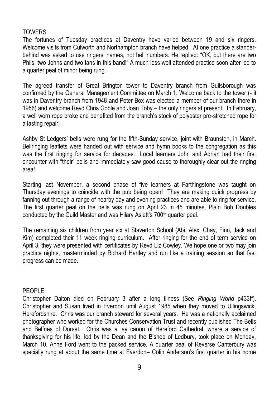#### TOWERS

The fortunes of Tuesday practices at Daventry have varied between 19 and six ringers. Welcome visits from Culworth and Northampton branch have helped. At one practice a standerbehind was asked to use ringers' names, not bell numbers. He replied: "OK, but there are two Phils, two Johns and two lans in this band!" A much less well attended practice soon after led to a quarter peal of minor being rung.

The agreed transfer of Great Brington tower to Daventry branch from Guilsborough was confirmed by the General Management Committee on March 1. Welcome back to the tower (- it was in Daventry branch from 1948 and Peter Box was elected a member of our branch there in 1956) and welcome Revd Chris Goble and Joan Toby – the only ringers at present. In February, a well worn rope broke and benefited from the branch's stock of polyester pre-stretched rope for a lasting repair!

Ashby St Ledgers' bells were rung for the fifth-Sunday service, joint with Braunston, in March. Bellringing leaflets were handed out with service and hymn books to the congregation as this was the first ringing for service for decades. Local learners John and Adrian had their first encounter with "their" bells and immediately saw good cause to thoroughly clear out the ringing area!

Starting last November, a second phase of five learners at Farthingstone was taught on Thursday evenings to coincide with the pub being open! They are making quick progress by fanning out through a range of nearby day and evening practices and are able to ring for service. The first quarter peal on the bells was rung on April 23 in 45 minutes, Plain Bob Doubles conducted by the Guild Master and was Hilary Aslett's 700<sup>th</sup> quarter peal.

The remaining six children from year six at Staverton School (Abi, Alex, Chay, Finn, Jack and Kim) completed their 11 week ringing curriculum. After ringing for the end of term service on April 3, they were presented with certificates by Revd Liz Cowley. We hope one or two may join practice nights, masterminded by Richard Hartley and run like a training session so that fast progress can be made.

#### PEOPLE

Christopher Dalton died on February 3 after a long illness (See *Ringing World* p433ff). Christopher and Susan lived in Everdon until August 1985 when they moved to Ullingswick, Herefordshire. Chris was our branch steward for several years. He was a nationally acclaimed photographer who worked for the Churches Conservation Trust and recently published The Bells and Belfries of Dorset. Chris was a lay canon of Hereford Cathedral, where a service of thanksgiving for his life, led by the Dean and the Bishop of Ledbury, took place on Monday, March 10. Anne Ford went to the packed service. A quarter peal of Reverse Canterbury was specially rung at about the same time at Everdon– Colin Anderson's first quarter in his home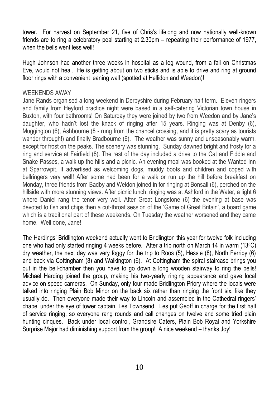tower. For harvest on September 21, five of Chris's lifelong and now nationally well-known friends are to ring a celebratory peal starting at 2.30pm – repeating their performance of 1977, when the bells went less well!

Hugh Johnson had another three weeks in hospital as a leg wound, from a fall on Christmas Eve, would not heal. He is getting about on two sticks and is able to drive and ring at ground floor rings with a convenient leaning wall (spotted at Hellidon and Weedon)!

#### WEEKENDS AWAY

Jane Rands organised a long weekend in Derbyshire during February half term. Eleven ringers and family from Heyford practice night were based in a self-catering Victorian town house in Buxton, with four bathrooms! On Saturday they were joined by two from Weedon and by Jane's daughter, who hadn't lost the knack of ringing after 15 years. Ringing was at Denby (6), Muggington (6), Ashbourne (8 - rung from the chancel crossing, and it is pretty scary as tourists wander through!) and finally Bradbourne (6). The weather was sunny and unseasonably warm, except for frost on the peaks. The scenery was stunning. Sunday dawned bright and frosty for a ring and service at Fairfield (8). The rest of the day included a drive to the Cat and Fiddle and Snake Passes, a walk up the hills and a picnic. An evening meal was booked at the Wanted Inn at Sparrowpit. It advertised as welcoming dogs, muddy boots and children and coped with bellringers very well! After some had been for a walk or run up the hill before breakfast on Monday, three friends from Badby and Weldon joined in for ringing at Bonsall (6), perched on the hillside with more stunning views. After picnic lunch, ringing was at Ashford in the Water, a light 6 where Daniel rang the tenor very well. After Great Longstone (6) the evening at base was devoted to fish and chips then a cut-throat session of the 'Game of Great Britain', a board game which is a traditional part of these weekends. On Tuesday the weather worsened and they came home. Well done, Jane!

The Hardings' Bridlington weekend actually went to Bridlington this year for twelve folk including one who had only started ringing 4 weeks before. After a trip north on March 14 in warm (13 $\degree$ C) dry weather, the next day was very foggy for the trip to Roos (5), Hessle (8), North Ferriby (6) and back via Cottingham (8) and Walkington (6). At Cottingham the spiral staircase brings you out in the bell-chamber then you have to go down a long wooden stairway to ring the bells! Michael Harding joined the group, making his two-yearly ringing appearance and gave local advice on speed cameras. On Sunday, only four made Bridlington Priory where the locals were talked into ringing Plain Bob Minor on the back six rather than ringing the front six, like they usually do. Then everyone made their way to Lincoln and assembled in the Cathedral ringers' chapel under the eye of tower captain, Les Townsend. Les put Geoff in charge for the first half of service ringing, so everyone rang rounds and call changes on twelve and some tried plain hunting cinques. Back under local control, Grandsire Caters, Plain Bob Royal and Yorkshire Surprise Major had diminishing support from the group! A nice weekend – thanks Joy!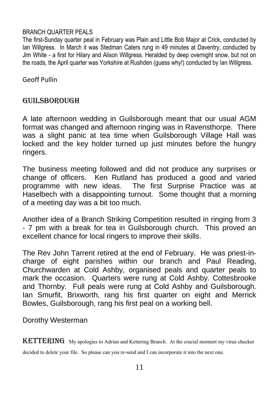#### BRANCH QUARTER PEALS

The first-Sunday quarter peal in February was Plain and Little Bob Major at Crick, conducted by Ian Willgress. In March it was Stedman Caters rung in 49 minutes at Daventry, conducted by Jim White - a first for Hilary and Alison Willgress. Heralded by deep overnight snow, but not on the roads, the April quarter was Yorkshire at Rushden (quess why!) conducted by Ian Willgress.

Geoff Pullin

### GUILSBOROUGH

A late afternoon wedding in Guilsborough meant that our usual AGM format was changed and afternoon ringing was in Ravensthorpe. There was a slight panic at tea time when Guilsborough Village Hall was locked and the key holder turned up just minutes before the hungry ringers.

The business meeting followed and did not produce any surprises or change of officers. Ken Rutland has produced a good and varied programme with new ideas. The first Surprise Practice was at Haselbech with a disappointing turnout. Some thought that a morning of a meeting day was a bit too much.

Another idea of a Branch Striking Competition resulted in ringing from 3 - 7 pm with a break for tea in Guilsborough church. This proved an excellent chance for local ringers to improve their skills.

The Rev John Tarrent retired at the end of February. He was priest-incharge of eight parishes within our branch and Paul Reading, Churchwarden at Cold Ashby, organised peals and quarter peals to mark the occasion. Quarters were rung at Cold Ashby. Cottesbrooke and Thornby. Full peals were rung at Cold Ashby and Guilsborough. Ian Smurfit, Brixworth, rang his first quarter on eight and Merrick Bowles, Guilsborough, rang his first peal on a working bell.

Dorothy Westerman

KETTERING My apologies to Adrian and Kettering Branch. At the crucial moment my virus checker

decided to delete your file. So please can you re-send and I can incorporate it into the next one.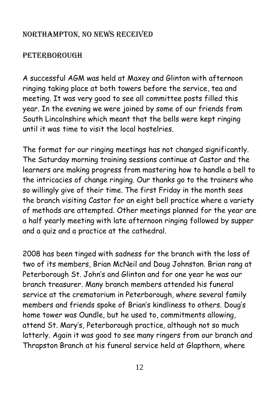## Northampton, no news received

## **PETERBOROUGH**

A successful AGM was held at Maxey and Glinton with afternoon ringing taking place at both towers before the service, tea and meeting. It was very good to see all committee posts filled this year. In the evening we were joined by some of our friends from South Lincolnshire which meant that the bells were kept ringing until it was time to visit the local hostelries.

The format for our ringing meetings has not changed significantly. The Saturday morning training sessions continue at Castor and the learners are making progress from mastering how to handle a bell to the intricacies of change ringing. Our thanks go to the trainers who so willingly give of their time. The first Friday in the month sees the branch visiting Castor for an eight bell practice where a variety of methods are attempted. Other meetings planned for the year are a half yearly meeting with late afternoon ringing followed by supper and a quiz and a practice at the cathedral.

2008 has been tinged with sadness for the branch with the loss of two of its members, Brian McNeil and Doug Johnston. Brian rang at Peterborough St. John's and Glinton and for one year he was our branch treasurer. Many branch members attended his funeral service at the crematorium in Peterborough, where several family members and friends spoke of Brian's kindliness to others. Doug's home tower was Oundle, but he used to, commitments allowing, attend St. Mary's, Peterborough practice, although not so much latterly. Again it was good to see many ringers from our branch and Thrapston Branch at his funeral service held at Glapthorn, where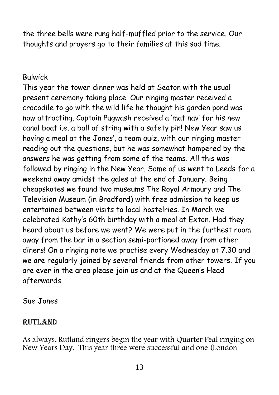the three bells were rung half-muffled prior to the service. Our thoughts and prayers go to their families at this sad time.

## Bulwick

This year the tower dinner was held at Seaton with the usual present ceremony taking place. Our ringing master received a crocodile to go with the wild life he thought his garden pond was now attracting. Captain Pugwash received a 'mat nav' for his new canal boat i.e. a ball of string with a safety pin! New Year saw us having a meal at the Jones', a team quiz, with our ringing master reading out the questions, but he was somewhat hampered by the answers he was getting from some of the teams. All this was followed by ringing in the New Year. Some of us went to Leeds for a weekend away amidst the gales at the end of January. Being cheapskates we found two museums The Royal Armoury and The Television Museum (in Bradford) with free admission to keep us entertained between visits to local hostelries. In March we celebrated Kathy's 60th birthday with a meal at Exton. Had they heard about us before we went? We were put in the furthest room away from the bar in a section semi-partioned away from other diners! On a ringing note we practise every Wednesday at 7.30 and we are regularly joined by several friends from other towers. If you are ever in the area please join us and at the Queen's Head afterwards.

## Sue Jones

## Rutland

As always, Rutland ringers begin the year with Quarter Peal ringing on New Years Day. This year three were successful and one (London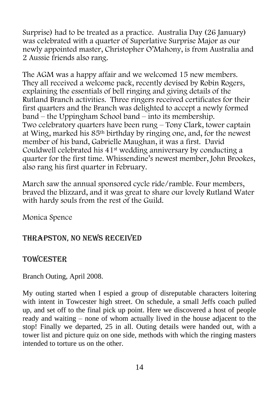Surprise) had to be treated as a practice. Australia Day (26 January) was celebrated with a quarter of Superlative Surprise Major as our newly appointed master, Christopher O'Mahony, is from Australia and 2 Aussie friends also rang.

The AGM was a happy affair and we welcomed 15 new members. They all received a welcome pack, recently devised by Robin Rogers, explaining the essentials of bell ringing and giving details of the Rutland Branch activities. Three ringers received certificates for their first quarters and the Branch was delighted to accept a newly formed band – the Uppingham School band – into its membership. Two celebratory quarters have been rung – Tony Clark, tower captain at Wing, marked his 85th birthday by ringing one, and, for the newest member of his band, Gabrielle Maughan, it was a first. David Couldwell celebrated his 41st wedding anniversary by conducting a quarter for the first time. Whissendine's newest member, John Brookes, also rang his first quarter in February.

March saw the annual sponsored cycle ride/ramble. Four members, braved the blizzard, and it was great to share our lovely Rutland Water with hardy souls from the rest of the Guild.

Monica Spence

## Thrapston, no news received

## **TOWCESTER**

Branch Outing, April 2008.

My outing started when I espied a group of disreputable characters loitering with intent in Towcester high street. On schedule, a small Jeffs coach pulled up, and set off to the final pick up point. Here we discovered a host of people ready and waiting – none of whom actually lived in the house adjacent to the stop! Finally we departed, 25 in all. Outing details were handed out, with a tower list and picture quiz on one side, methods with which the ringing masters intended to torture us on the other.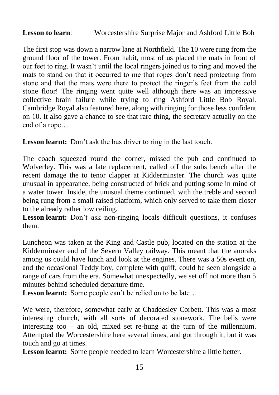#### **Lesson to learn**: Worcestershire Surprise Major and Ashford Little Bob

The first stop was down a narrow lane at Northfield. The 10 were rung from the ground floor of the tower. From habit, most of us placed the mats in front of our feet to ring. It wasn't until the local ringers joined us to ring and moved the mats to stand on that it occurred to me that ropes don't need protecting from stone and that the mats were there to protect the ringer's feet from the cold stone floor! The ringing went quite well although there was an impressive collective brain failure while trying to ring Ashford Little Bob Royal. Cambridge Royal also featured here, along with ringing for those less confident on 10. It also gave a chance to see that rare thing, the secretary actually on the end of a rope…

Lesson learnt: Don't ask the bus driver to ring in the last touch.

The coach squeezed round the corner, missed the pub and continued to Wolverley. This was a late replacement, called off the subs bench after the recent damage the to tenor clapper at Kidderminster. The church was quite unusual in appearance, being constructed of brick and putting some in mind of a water tower. Inside, the unusual theme continued, with the treble and second being rung from a small raised platform, which only served to take them closer to the already rather low ceiling.

Lesson learnt: Don't ask non-ringing locals difficult questions, it confuses them.

Luncheon was taken at the King and Castle pub, located on the station at the Kidderminster end of the Severn Valley railway. This meant that the anoraks among us could have lunch and look at the engines. There was a 50s event on, and the occasional Teddy boy, complete with quiff, could be seen alongside a range of cars from the era. Somewhat unexpectedly, we set off not more than 5 minutes behind scheduled departure time.

Lesson learnt: Some people can't be relied on to be late...

We were, therefore, somewhat early at Chaddesley Corbett. This was a most interesting church, with all sorts of decorated stonework. The bells were interesting too – an old, mixed set re-hung at the turn of the millennium. Attempted the Worcestershire here several times, and got through it, but it was touch and go at times.

**Lesson learnt:** Some people needed to learn Worcestershire a little better.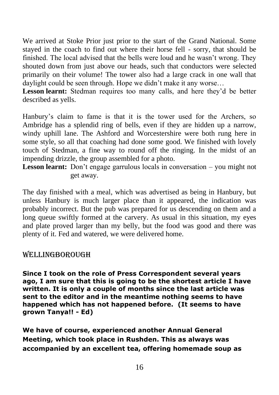We arrived at Stoke Prior just prior to the start of the Grand National. Some stayed in the coach to find out where their horse fell - sorry, that should be finished. The local advised that the bells were loud and he wasn't wrong. They shouted down from just above our heads, such that conductors were selected primarily on their volume! The tower also had a large crack in one wall that daylight could be seen through. Hope we didn't make it any worse…

Lesson learnt: Stedman requires too many calls, and here they'd be better described as yells.

Hanbury's claim to fame is that it is the tower used for the Archers, so Ambridge has a splendid ring of bells, even if they are hidden up a narrow, windy uphill lane. The Ashford and Worcestershire were both rung here in some style, so all that coaching had done some good. We finished with lovely touch of Stedman, a fine way to round off the ringing. In the midst of an impending drizzle, the group assembled for a photo.

**Lesson learnt:** Don't engage garrulous locals in conversation – you might not get away.

The day finished with a meal, which was advertised as being in Hanbury, but unless Hanbury is much larger place than it appeared, the indication was probably incorrect. But the pub was prepared for us descending on them and a long queue swiftly formed at the carvery. As usual in this situation, my eyes and plate proved larger than my belly, but the food was good and there was plenty of it. Fed and watered, we were delivered home.

#### WELLINGBOROUGH

**Since I took on the role of Press Correspondent several years ago, I am sure that this is going to be the shortest article I have written. It is only a couple of months since the last article was sent to the editor and in the meantime nothing seems to have happened which has not happened before. (It seems to have grown Tanya!! - Ed)**

**We have of course, experienced another Annual General Meeting, which took place in Rushden. This as always was accompanied by an excellent tea, offering homemade soup as**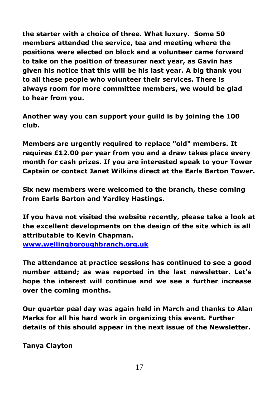**the starter with a choice of three. What luxury. Some 50 members attended the service, tea and meeting where the positions were elected on block and a volunteer came forward to take on the position of treasurer next year, as Gavin has given his notice that this will be his last year. A big thank you to all these people who volunteer their services. There is always room for more committee members, we would be glad to hear from you.**

**Another way you can support your guild is by joining the 100 club.**

**Members are urgently required to replace "old" members. It requires £12.00 per year from you and a draw takes place every month for cash prizes. If you are interested speak to your Tower Captain or contact Janet Wilkins direct at the Earls Barton Tower.**

**Six new members were welcomed to the branch, these coming from Earls Barton and Yardley Hastings.**

**If you have not visited the website recently, please take a look at the excellent developments on the design of the site which is all attributable to Kevin Chapman.** 

**[www.wellingboroughbranch.org.uk](http://www.wellingboroughbranch.org.uk/)**

**The attendance at practice sessions has continued to see a good number attend; as was reported in the last newsletter. Let's hope the interest will continue and we see a further increase over the coming months.**

**Our quarter peal day was again held in March and thanks to Alan Marks for all his hard work in organizing this event. Further details of this should appear in the next issue of the Newsletter.**

**Tanya Clayton**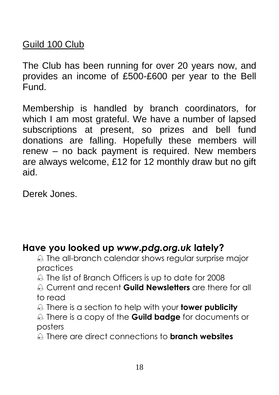## Guild 100 Club

The Club has been running for over 20 years now, and provides an income of £500-£600 per year to the Bell **Fund** 

Membership is handled by branch coordinators, for which I am most grateful. We have a number of lapsed subscriptions at present, so prizes and bell fund donations are falling. Hopefully these members will renew – no back payment is required. New members are always welcome, £12 for 12 monthly draw but no gift aid.

Derek Jones.

## **Have you looked up** *www.pdg.org.uk* **lately?**

- $\triangle$  The all-branch calendar shows regular surprise major practices
- A The list of Branch Officers is up to date for 2008
- Current and recent **Guild Newsletters** are there for all to read
- There is a section to help with your **tower publicity**
- There is a copy of the **Guild badge** for documents or posters
- There are direct connections to **branch websites**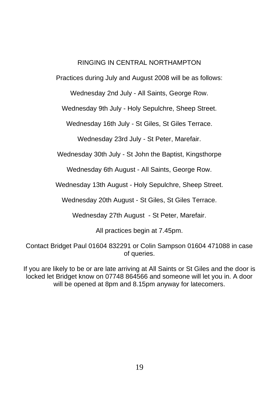#### RINGING IN CENTRAL NORTHAMPTON

Practices during July and August 2008 will be as follows:

Wednesday 2nd July - All Saints, George Row.

Wednesday 9th July - Holy Sepulchre, Sheep Street.

Wednesday 16th July - St Giles, St Giles Terrace.

Wednesday 23rd July - St Peter, Marefair.

Wednesday 30th July - St John the Baptist, Kingsthorpe

Wednesday 6th August - All Saints, George Row.

Wednesday 13th August - Holy Sepulchre, Sheep Street.

Wednesday 20th August - St Giles, St Giles Terrace.

Wednesday 27th August - St Peter, Marefair.

All practices begin at 7.45pm.

Contact Bridget Paul 01604 832291 or Colin Sampson 01604 471088 in case of queries.

If you are likely to be or are late arriving at All Saints or St Giles and the door is locked let Bridget know on 07748 864566 and someone will let you in. A door will be opened at 8pm and 8.15pm anyway for latecomers.